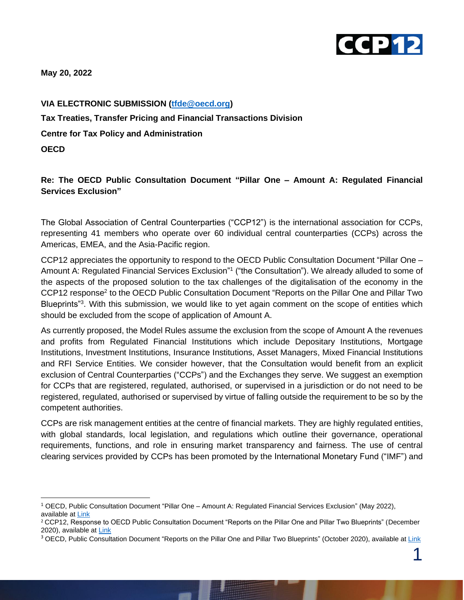

**May 20, 2022**

## **VIA ELECTRONIC SUBMISSION [\(tfde@oecd.org\)](mailto:tfde@oecd.org) Tax Treaties, Transfer Pricing and Financial Transactions Division Centre for Tax Policy and Administration OECD**

## **Re: The OECD Public Consultation Document "Pillar One – Amount A: Regulated Financial Services Exclusion"**

The Global Association of Central Counterparties ("CCP12") is the international association for CCPs, representing 41 members who operate over 60 individual central counterparties (CCPs) across the Americas, EMEA, and the Asia-Pacific region.

CCP12 appreciates the opportunity to respond to the OECD Public Consultation Document "Pillar One – Amount A: Regulated Financial Services Exclusion"<sup>1</sup> ("the Consultation"). We already alluded to some of the aspects of the proposed solution to the tax challenges of the digitalisation of the economy in the CCP12 response<sup>2</sup> to the OECD Public Consultation Document "Reports on the Pillar One and Pillar Two Blueprints"<sup>3</sup>. With this submission, we would like to yet again comment on the scope of entities which should be excluded from the scope of application of Amount A.

As currently proposed, the Model Rules assume the exclusion from the scope of Amount A the revenues and profits from Regulated Financial Institutions which include Depositary Institutions, Mortgage Institutions, Investment Institutions, Insurance Institutions, Asset Managers, Mixed Financial Institutions and RFI Service Entities. We consider however, that the Consultation would benefit from an explicit exclusion of Central Counterparties ("CCPs") and the Exchanges they serve. We suggest an exemption for CCPs that are registered, regulated, authorised, or supervised in a jurisdiction or do not need to be registered, regulated, authorised or supervised by virtue of falling outside the requirement to be so by the competent authorities.

CCPs are risk management entities at the centre of financial markets. They are highly regulated entities, with global standards, local legislation, and regulations which outline their governance, operational requirements, functions, and role in ensuring market transparency and fairness. The use of central clearing services provided by CCPs has been promoted by the International Monetary Fund ("IMF") and

<sup>1</sup> OECD, Public Consultation Document "Pillar One – Amount A: Regulated Financial Services Exclusion" (May 2022), available at [Link](https://www.oecd.org/tax/beps/public-consultation-document-pillar-one-amount-a-regulated-financial-services-exclusion.pdf)

<sup>2</sup> CCP12, Response to OECD Public Consultation Document "Reports on the Pillar One and Pillar Two Blueprints" (December 2020), available at [Link](https://ccp12.org/wp-content/uploads/2020/12/CCP12-_Response_to_OECD.pdf)

<sup>&</sup>lt;sup>3</sup> OECD, Public Consultation Document "Reports on the Pillar One and Pillar Two Blueprints" (October 2020), available at [Link](https://www.oecd.org/tax/beps/public-consultation-document-reports-on-pillar-one-and-pillar-two-blueprints-october-2020.pdf)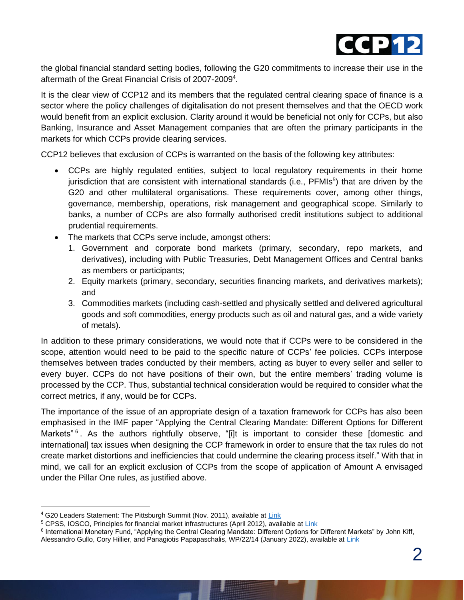

the global financial standard setting bodies, following the G20 commitments to increase their use in the aftermath of the Great Financial Crisis of 2007-2009<sup>4</sup>.

It is the clear view of CCP12 and its members that the regulated central clearing space of finance is a sector where the policy challenges of digitalisation do not present themselves and that the OECD work would benefit from an explicit exclusion. Clarity around it would be beneficial not only for CCPs, but also Banking, Insurance and Asset Management companies that are often the primary participants in the markets for which CCPs provide clearing services.

CCP12 believes that exclusion of CCPs is warranted on the basis of the following key attributes:

- CCPs are highly regulated entities, subject to local regulatory requirements in their home jurisdiction that are consistent with international standards (i.e., PFMIs<sup>5</sup>) that are driven by the G20 and other multilateral organisations. These requirements cover, among other things, governance, membership, operations, risk management and geographical scope. Similarly to banks, a number of CCPs are also formally authorised credit institutions subject to additional prudential requirements.
- The markets that CCPs serve include, amongst others:
	- 1. Government and corporate bond markets (primary, secondary, repo markets, and derivatives), including with Public Treasuries, Debt Management Offices and Central banks as members or participants;
	- 2. Equity markets (primary, secondary, securities financing markets, and derivatives markets); and
	- 3. Commodities markets (including cash-settled and physically settled and delivered agricultural goods and soft commodities, energy products such as oil and natural gas, and a wide variety of metals).

In addition to these primary considerations, we would note that if CCPs were to be considered in the scope, attention would need to be paid to the specific nature of CCPs' fee policies. CCPs interpose themselves between trades conducted by their members, acting as buyer to every seller and seller to every buyer. CCPs do not have positions of their own, but the entire members' trading volume is processed by the CCP. Thus, substantial technical consideration would be required to consider what the correct metrics, if any, would be for CCPs.

The importance of the issue of an appropriate design of a taxation framework for CCPs has also been emphasised in the IMF paper "Applying the Central Clearing Mandate: Different Options for Different Markets"<sup>6</sup>. As the authors rightfully observe, "[i]t is important to consider these [domestic and international] tax issues when designing the CCP framework in order to ensure that the tax rules do not create market distortions and inefficiencies that could undermine the clearing process itself." With that in mind, we call for an explicit exclusion of CCPs from the scope of application of Amount A envisaged under the Pillar One rules, as justified above.

<sup>&</sup>lt;sup>4</sup> G20 Leaders Statement: The Pittsburgh Summit (Nov. 2011), available at [Link](http://www.g20.utoronto.ca/2009/2009communique0925.html)

<sup>&</sup>lt;sup>5</sup> CPSS, IOSCO, Principles for financial market infrastructures (April 2012), available a[t Link](https://www.bis.org/cpmi/publ/d101a.pdf)

<sup>&</sup>lt;sup>6</sup> International Monetary Fund, "Applying the Central Clearing Mandate: Different Options for Different Markets" by John Kiff,

Alessandro Gullo, Cory Hillier, and Panagiotis Papapaschalis, WP/22/14 (January 2022), available at [Link](https://www.imf.org/en/Publications/WP/Issues/2022/01/28/Applying-the-Central-Clearing-Mandate-Different-Options-for-Different-Markets-512017)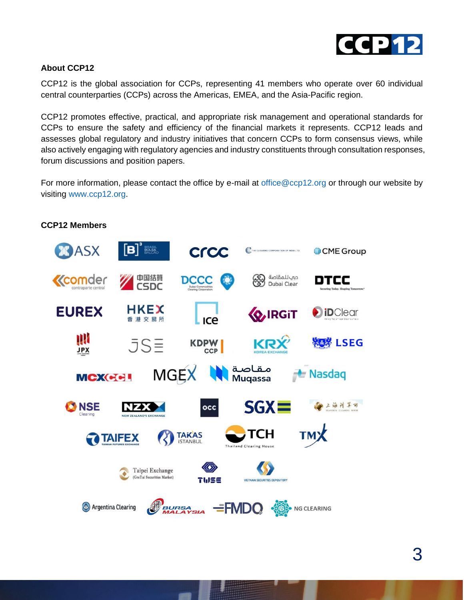

## **About CCP12**

CCP12 is the global association for CCPs, representing 41 members who operate over 60 individual central counterparties (CCPs) across the Americas, EMEA, and the Asia-Pacific region.

CCP12 promotes effective, practical, and appropriate risk management and operational standards for CCPs to ensure the safety and efficiency of the financial markets it represents. CCP12 leads and assesses global regulatory and industry initiatives that concern CCPs to form consensus views, while also actively engaging with regulatory agencies and industry constituents through consultation responses, forum discussions and position papers.

For more information, please contact the office by e-mail at [office@ccp12.org](mailto:office@ccp12.org) or through our website by visiting [www.ccp12.org.](http://www.ccp12.org/)



## **CCP12 Members**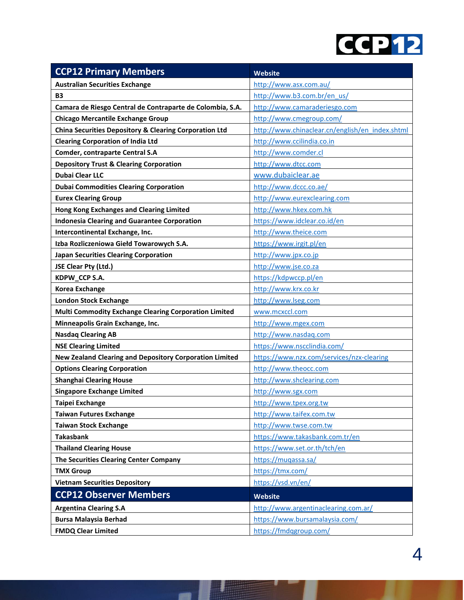

| <b>CCP12 Primary Members</b>                                      | <b>Website</b>                                  |
|-------------------------------------------------------------------|-------------------------------------------------|
| <b>Australian Securities Exchange</b>                             | http://www.asx.com.au/                          |
| <b>B3</b>                                                         | http://www.b3.com.br/en_us/                     |
| Camara de Riesgo Central de Contraparte de Colombia, S.A.         | http://www.camaraderiesgo.com                   |
| <b>Chicago Mercantile Exchange Group</b>                          | http://www.cmegroup.com/                        |
| <b>China Securities Depository &amp; Clearing Corporation Ltd</b> | http://www.chinaclear.cn/english/en_index.shtml |
| <b>Clearing Corporation of India Ltd</b>                          | http://www.ccilindia.co.in                      |
| <b>Comder, contraparte Central S.A</b>                            | http://www.comder.cl                            |
| <b>Depository Trust &amp; Clearing Corporation</b>                | http://www.dtcc.com                             |
| <b>Dubai Clear LLC</b>                                            | www.dubaiclear.ae                               |
| <b>Dubai Commodities Clearing Corporation</b>                     | http://www.dccc.co.ae/                          |
| <b>Eurex Clearing Group</b>                                       | http://www.eurexclearing.com                    |
| Hong Kong Exchanges and Clearing Limited                          | http://www.hkex.com.hk                          |
| <b>Indonesia Clearing and Guarantee Corporation</b>               | https://www.idclear.co.id/en                    |
| Intercontinental Exchange, Inc.                                   | http://www.theice.com                           |
| Izba Rozliczeniowa Giełd Towarowych S.A.                          | https://www.irgit.pl/en                         |
| <b>Japan Securities Clearing Corporation</b>                      | http://www.jpx.co.jp                            |
| JSE Clear Pty (Ltd.)                                              | http://www.jse.co.za                            |
| KDPW_CCP S.A.                                                     | https://kdpwccp.pl/en                           |
| <b>Korea Exchange</b>                                             | http://www.krx.co.kr                            |
| <b>London Stock Exchange</b>                                      | http://www.lseg.com                             |
| <b>Multi Commodity Exchange Clearing Corporation Limited</b>      | www.mcxccl.com                                  |
| Minneapolis Grain Exchange, Inc.                                  | http://www.mgex.com                             |
| <b>Nasdaq Clearing AB</b>                                         | http://www.nasdaq.com                           |
| <b>NSE Clearing Limited</b>                                       | https://www.nscclindia.com/                     |
| <b>New Zealand Clearing and Depository Corporation Limited</b>    | https://www.nzx.com/services/nzx-clearing       |
| <b>Options Clearing Corporation</b>                               | http://www.theocc.com                           |
| <b>Shanghai Clearing House</b>                                    | http://www.shclearing.com                       |
| <b>Singapore Exchange Limited</b>                                 | http://www.sgx.com                              |
| <b>Taipei Exchange</b>                                            | http://www.tpex.org.tw                          |
| <b>Taiwan Futures Exchange</b>                                    | http://www.taifex.com.tw                        |
| <b>Taiwan Stock Exchange</b>                                      | http://www.twse.com.tw                          |
| <b>Takasbank</b>                                                  | https://www.takasbank.com.tr/en                 |
| <b>Thailand Clearing House</b>                                    | https://www.set.or.th/tch/en                    |
| The Securities Clearing Center Company                            | https://mugassa.sa/                             |
| <b>TMX Group</b>                                                  | https://tmx.com/                                |
| <b>Vietnam Securities Depository</b>                              | https://vsd.vn/en/                              |
| <b>CCP12 Observer Members</b>                                     | Website                                         |
| <b>Argentina Clearing S.A</b>                                     | http://www.argentinaclearing.com.ar/            |
| <b>Bursa Malaysia Berhad</b>                                      | https://www.bursamalaysia.com/                  |
| <b>FMDQ Clear Limited</b>                                         | https://fmdqgroup.com/                          |

L

**SHIP**